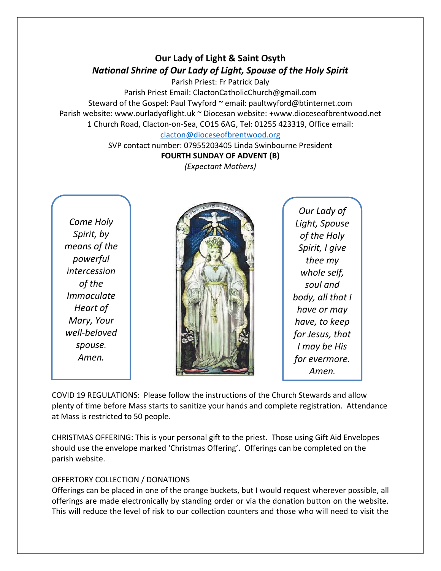# **Our Lady of Light & Saint Osyth** *National Shrine of Our Lady of Light, Spouse of the Holy Spirit*

Parish Priest: Fr Patrick Daly

Parish Priest Email: ClactonCatholicChurch@gmail.com Steward of the Gospel: Paul Twyford ~ email: paultwyford@btinternet.com Parish website: www.ourladyoflight.uk ~ Diocesan website: +www.dioceseofbrentwood.net 1 Church Road, Clacton-on-Sea, CO15 6AG, Tel: 01255 423319, Office email:

## [clacton@dioceseofbrentwood.org](mailto:clacton@dioceseofbrentwood.org)

SVP contact number: 07955203405 Linda Swinbourne President **FOURTH SUNDAY OF ADVENT (B)**

*(Expectant Mothers)*

*Come Holy Spirit, by means of the powerful intercession of the Immaculate Heart of Mary, Your well-beloved spouse. Amen.*



*Our Lady of Light, Spouse of the Holy Spirit, I give thee my whole self, soul and body, all that I have or may have, to keep for Jesus, that I may be His for evermore. Amen.*

COVID 19 REGULATIONS: Please follow the instructions of the Church Stewards and allow plenty of time before Mass starts to sanitize your hands and complete registration. Attendance at Mass is restricted to 50 people.

CHRISTMAS OFFERING: This is your personal gift to the priest. Those using Gift Aid Envelopes should use the envelope marked 'Christmas Offering'. Offerings can be completed on the parish website.

## OFFERTORY COLLECTION / DONATIONS

Offerings can be placed in one of the orange buckets, but I would request wherever possible, all offerings are made electronically by standing order or via the donation button on the website. This will reduce the level of risk to our collection counters and those who will need to visit the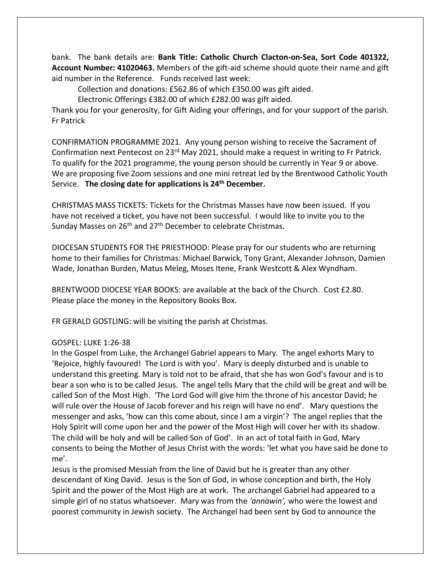bank. The bank details are: **Bank Title: Catholic Church Clacton-on-Sea, Sort Code 401322, Account Number: 41020463.** Members of the gift-aid scheme should quote their name and gift aid number in the Reference. Funds received last week:

Collection and donations: £562.86 of which £350.00 was gift aided.

Electronic Offerings £382.00 of which £282.00 was gift aided.

Thank you for your generosity, for Gift Aiding your offerings, and for your support of the parish. Fr Patrick

CONFIRMATION PROGRAMME 2021. Any young person wishing to receive the Sacrament of Confirmation next Pentecost on 23rd May 2021, should make a request in writing to Fr Patrick. To qualify for the 2021 programme, the young person should be currently in Year 9 or above. We are proposing five Zoom sessions and one mini retreat led by the Brentwood Catholic Youth Service. **The closing date for applications is 24th December.**

CHRISTMAS MASS TICKETS: Tickets for the Christmas Masses have now been issued. If you have not received a ticket, you have not been successful. I would like to invite you to the Sunday Masses on 26<sup>th</sup> and 27<sup>th</sup> December to celebrate Christmas.

DIOCESAN STUDENTS FOR THE PRIESTHOOD: Please pray for our students who are returning home to their families for Christmas: Michael Barwick, Tony Grant, Alexander Johnson, Damien Wade, Jonathan Burden, Matus Meleg, Moses Itene, Frank Westcott & Alex Wyndham.

BRENTWOOD DIOCESE YEAR BOOKS: are available at the back of the Church. Cost £2.80. Please place the money in the Repository Books Box.

FR GERALD GOSTLING: will be visiting the parish at Christmas.

### GOSPEL: LUKE 1:26-38

In the Gospel from Luke, the Archangel Gabriel appears to Mary. The angel exhorts Mary to 'Rejoice, highly favoured! The Lord is with you'. Mary is deeply disturbed and is unable to understand this greeting. Mary is told not to be afraid, that she has won God's favour and is to bear a son who is to be called Jesus. The angel tells Mary that the child will be great and will be called Son of the Most High. 'The Lord God will give him the throne of his ancestor David; he will rule over the House of Jacob forever and his reign will have no end'. Mary questions the messenger and asks, 'how can this come about, since I am a virgin'? The angel replies that the Holy Spirit will come upon her and the power of the Most High will cover her with its shadow. The child will be holy and will be called Son of God'. In an act of total faith in God, Mary consents to being the Mother of Jesus Christ with the words: 'let what you have said be done to me'.

Jesus is the promised Messiah from the line of David but he is greater than any other descendant of King David. Jesus is the Son of God, in whose conception and birth, the Holy Spirit and the power of the Most High are at work. The archangel Gabriel had appeared to a simple girl of no status whatsoever. Mary was from the *'annawin',* who were the lowest and poorest community in Jewish society. The Archangel had been sent by God to announce the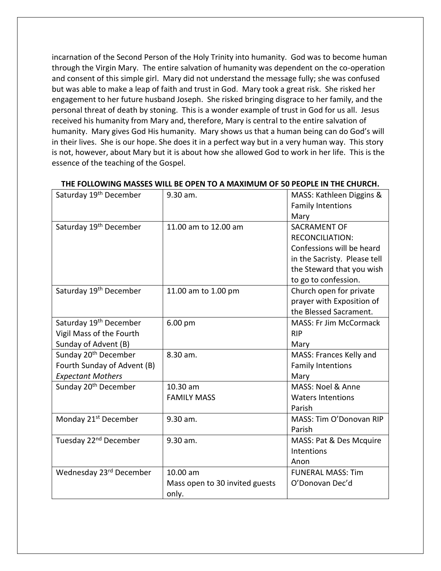incarnation of the Second Person of the Holy Trinity into humanity. God was to become human through the Virgin Mary. The entire salvation of humanity was dependent on the co-operation and consent of this simple girl. Mary did not understand the message fully; she was confused but was able to make a leap of faith and trust in God. Mary took a great risk. She risked her engagement to her future husband Joseph. She risked bringing disgrace to her family, and the personal threat of death by stoning. This is a wonder example of trust in God for us all. Jesus received his humanity from Mary and, therefore, Mary is central to the entire salvation of humanity. Mary gives God His humanity. Mary shows us that a human being can do God's will in their lives. She is our hope. She does it in a perfect way but in a very human way. This story is not, however, about Mary but it is about how she allowed God to work in her life. This is the essence of the teaching of the Gospel.

| Saturday 19 <sup>th</sup> December | 9.30 am.                       | MASS: Kathleen Diggins &      |
|------------------------------------|--------------------------------|-------------------------------|
|                                    |                                | <b>Family Intentions</b>      |
|                                    |                                | Mary                          |
| Saturday 19 <sup>th</sup> December | 11.00 am to 12.00 am           | SACRAMENT OF                  |
|                                    |                                | <b>RECONCILIATION:</b>        |
|                                    |                                | Confessions will be heard     |
|                                    |                                | in the Sacristy. Please tell  |
|                                    |                                | the Steward that you wish     |
|                                    |                                | to go to confession.          |
| Saturday 19 <sup>th</sup> December | 11.00 am to 1.00 pm            | Church open for private       |
|                                    |                                | prayer with Exposition of     |
|                                    |                                | the Blessed Sacrament.        |
| Saturday 19th December             | 6.00 pm                        | <b>MASS: Fr Jim McCormack</b> |
| Vigil Mass of the Fourth           |                                | <b>RIP</b>                    |
| Sunday of Advent (B)               |                                | Mary                          |
| Sunday 20 <sup>th</sup> December   | 8.30 am.                       | MASS: Frances Kelly and       |
| Fourth Sunday of Advent (B)        |                                | <b>Family Intentions</b>      |
| <b>Expectant Mothers</b>           |                                | Mary                          |
| Sunday 20 <sup>th</sup> December   | 10.30 am                       | MASS: Noel & Anne             |
|                                    | <b>FAMILY MASS</b>             | <b>Waters Intentions</b>      |
|                                    |                                | Parish                        |
| Monday 21 <sup>st</sup> December   | 9.30 am.                       | MASS: Tim O'Donovan RIP       |
|                                    |                                | Parish                        |
| Tuesday 22 <sup>nd</sup> December  | 9.30 am.                       | MASS: Pat & Des Mcquire       |
|                                    |                                | Intentions                    |
|                                    |                                | Anon                          |
| Wednesday 23rd December            | 10.00 am                       | <b>FUNERAL MASS: Tim</b>      |
|                                    | Mass open to 30 invited guests | O'Donovan Dec'd               |
|                                    | only.                          |                               |

#### **THE FOLLOWING MASSES WILL BE OPEN TO A MAXIMUM OF 50 PEOPLE IN THE CHURCH.**